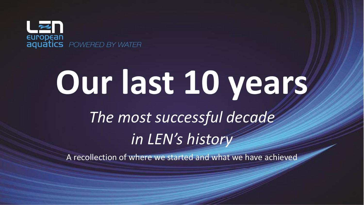

# **Our last 10 years** *The most successful decade in LEN's history*

A recollection of where we started and what we have achieved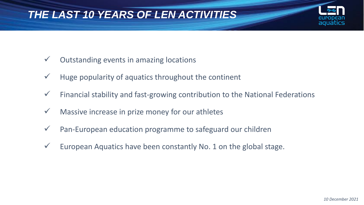#### *THE LAST 10 YEARS OF LEN ACTIVITIES*

- $\checkmark$  Outstanding events in amazing locations
- $\checkmark$  Huge popularity of aquatics throughout the continent
- $\checkmark$  Financial stability and fast-growing contribution to the National Federations
- $\checkmark$  Massive increase in prize money for our athletes
- ✓ Pan-European education programme to safeguard our children
- $\checkmark$  European Aquatics have been constantly No. 1 on the global stage.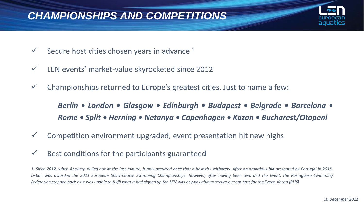#### *CHAMPIONSHIPS AND COMPETITIONS*

- $\checkmark$  Secure host cities chosen years in advance  $^1$
- ✓ LEN events' market-value skyrocketed since 2012
- $\checkmark$  Championships returned to Europe's greatest cities. Just to name a few:

*Berlin • London • Glasgow • Edinburgh • Budapest • Belgrade • Barcelona • Rome • Split • Herning • Netanya • Copenhagen • Kazan • Bucharest/Otopeni*

- $\checkmark$  Competition environment upgraded, event presentation hit new highs
- $\checkmark$  Best conditions for the participants guaranteed

1. Since 2012, when Antwerp pulled out at the last minute, it only occurred once that a host city withdrew. After an ambitious bid presented by Portugal in 2018, Lisbon was awarded the 2021 European Short-Course Swimming Championships. However, after having been awarded the Event, the Portuguese Swimming Federation stepped back as it was unable to fulfil what it had signed up for. LEN was anyway able to secure a great host for the Event, Kazan (RUS)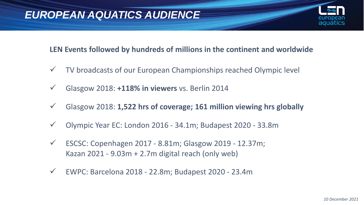

#### **LEN Events followed by hundreds of millions in the continent and worldwide**

- ✓ TV broadcasts of our European Championships reached Olympic level
- ✓ Glasgow 2018: **+118% in viewers** vs. Berlin 2014
- ✓ Glasgow 2018: **1,522 hrs of coverage; 161 million viewing hrs globally**
- ✓ Olympic Year EC: London 2016 34.1m; Budapest 2020 33.8m
- $\checkmark$  ESCSC: Copenhagen 2017 8.81m; Glasgow 2019 12.37m; Kazan 2021 - 9.03m + 2.7m digital reach (only web)
- ✓ EWPC: Barcelona 2018 22.8m; Budapest 2020 23.4m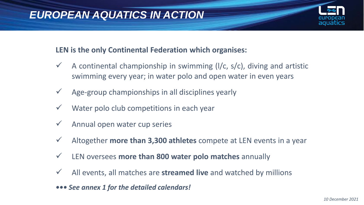#### **LEN is the only Continental Federation which organises:**

- $\checkmark$  A continental championship in swimming (I/c, s/c), diving and artistic swimming every year; in water polo and open water in even years
- $\checkmark$  Age-group championships in all disciplines yearly
- $\checkmark$  Water polo club competitions in each year
- $\checkmark$  Annual open water cup series
- ✓ Altogether **more than 3,300 athletes** compete at LEN events in a year
- ✓ LEN oversees **more than 800 water polo matches** annually
- ✓ All events, all matches are **streamed live** and watched by millions
- *••• See annex 1 for the detailed calendars!*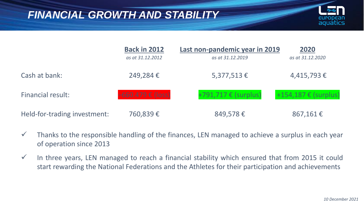#### *FINANCIAL GROWTH AND STABILITY*



|                              | <b>Back in 2012</b><br>as at 31.12.2012 | Last non-pandemic year in 2019<br>as at 31.12.2019 | 2020<br>as at 31.12.2020 |
|------------------------------|-----------------------------------------|----------------------------------------------------|--------------------------|
| Cash at bank:                | 249,284€                                | $5,377,513 \in$                                    | $4,415,793 \in$          |
| <b>Financial result:</b>     | $-660.479 \in (loss)$                   | +791,717 € (surplus)                               | +154,187 € (surplus)     |
| Held-for-trading investment: | 760,839€                                | 849,578€                                           | 867,161€                 |

- $\checkmark$  Thanks to the responsible handling of the finances, LEN managed to achieve a surplus in each year of operation since 2013
- $\checkmark$  In three years, LEN managed to reach a financial stability which ensured that from 2015 it could start rewarding the National Federations and the Athletes for their participation and achievements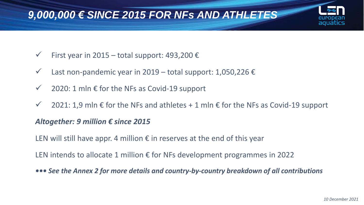#### *9,000,000 € SINCE 2015 FOR NFs AND ATHLETES*

- $\checkmark$  First year in 2015 total support: 493,200  $\hat{\epsilon}$
- $\checkmark$  Last non-pandemic year in 2019 total support: 1,050,226  $\epsilon$
- $\checkmark$  2020: 1 mln  $\epsilon$  for the NFs as Covid-19 support
- $\checkmark$  2021: 1,9 mln  $\epsilon$  for the NFs and athletes + 1 mln  $\epsilon$  for the NFs as Covid-19 support

#### *Altogether: 9 million € since 2015*

LEN will still have appr. 4 million  $\epsilon$  in reserves at the end of this year

LEN intends to allocate 1 million  $\epsilon$  for NFs development programmes in 2022

*••• See the Annex 2 for more details and country-by-country breakdown of all contributions*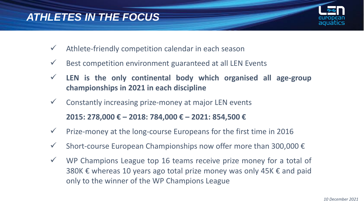#### *ATHLETES IN THE FOCUS*



- $\checkmark$  Athlete-friendly competition calendar in each season
- $\checkmark$  Best competition environment guaranteed at all LEN Events
- ✓ **LEN is the only continental body which organised all age-group championships in 2021 in each discipline**
- $\checkmark$  Constantly increasing prize-money at major LEN events

**2015: 278,000 € – 2018: 784,000 € – 2021: 854,500 €**

- $\checkmark$  Prize-money at the long-course Europeans for the first time in 2016
- $\checkmark$  Short-course European Championships now offer more than 300,000  $\hat{\epsilon}$
- ✓ WP Champions League top 16 teams receive prize money for a total of 380K € whereas 10 years ago total prize money was only 45K  $\epsilon$  and paid only to the winner of the WP Champions League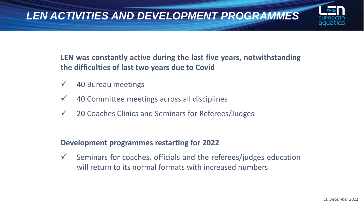

**LEN was constantly active during the last five years, notwithstanding the difficulties of last two years due to Covid**

- $\checkmark$  40 Bureau meetings
- $\checkmark$  40 Committee meetings across all disciplines
- ✓ 20 Coaches Clinics and Seminars for Referees/Judges

#### **Development programmes restarting for 2022**

 $\checkmark$  Seminars for coaches, officials and the referees/judges education will return to its normal formats with increased numbers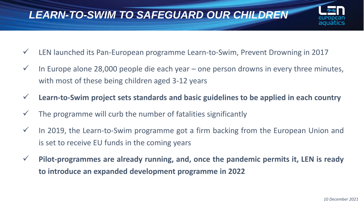### *LEARN-TO-SWIM TO SAFEGUARD OUR CHILDREN*



- ✓ LEN launched its Pan-European programme Learn-to-Swim, Prevent Drowning in 2017
- $\checkmark$  In Europe alone 28,000 people die each year one person drowns in every three minutes, with most of these being children aged 3-12 years
- ✓ **Learn-to-Swim project sets standards and basic guidelines to be applied in each country**
- The programme will curb the number of fatalities significantly
- $\checkmark$  In 2019, the Learn-to-Swim programme got a firm backing from the European Union and is set to receive EU funds in the coming years
- ✓ **Pilot-programmes are already running, and, once the pandemic permits it, LEN is ready to introduce an expanded development programme in 2022**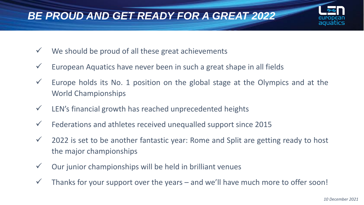### *BE PROUD AND GET READY FOR A GREAT 2022*

- $\checkmark$  We should be proud of all these great achievements
- $\checkmark$  European Aquatics have never been in such a great shape in all fields
- $\checkmark$  Europe holds its No. 1 position on the global stage at the Olympics and at the World Championships
- $\checkmark$  LEN's financial growth has reached unprecedented heights
- $\checkmark$  Federations and athletes received unequalled support since 2015
- $\checkmark$  2022 is set to be another fantastic year: Rome and Split are getting ready to host the major championships
- $\checkmark$  Our junior championships will be held in brilliant venues
- $\checkmark$  Thanks for your support over the years and we'll have much more to offer soon!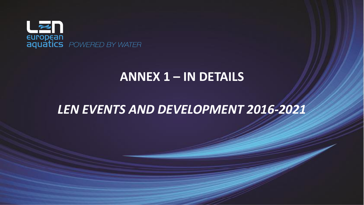

### **ANNEX 1 – IN DETAILS**

### *LEN EVENTS AND DEVELOPMENT 2016-2021*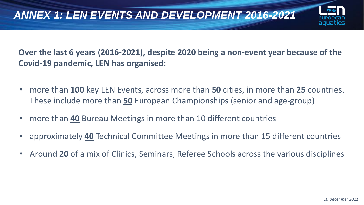

**Over the last 6 years (2016-2021), despite 2020 being a non-event year because of the Covid-19 pandemic, LEN has organised:**

- more than **100** key LEN Events, across more than **50** cities, in more than **25** countries. These include more than **50** European Championships (senior and age-group)
- more than **40** Bureau Meetings in more than 10 different countries
- approximately **40** Technical Committee Meetings in more than 15 different countries
- Around **20** of a mix of Clinics, Seminars, Referee Schools across the various disciplines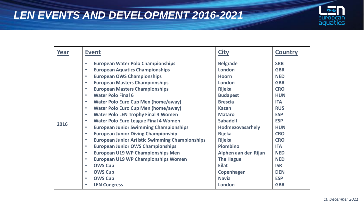

| Year | <b>Event</b>                                                        | <b>City</b>          | <b>Country</b> |
|------|---------------------------------------------------------------------|----------------------|----------------|
|      | <b>European Water Polo Championships</b><br>$\bullet$               | <b>Belgrade</b>      | <b>SRB</b>     |
|      | <b>European Aquatics Championships</b><br>$\bullet$                 | London               | <b>GBR</b>     |
|      | <b>European OWS Championships</b><br>$\bullet$                      | <b>Hoorn</b>         | <b>NED</b>     |
|      | <b>European Masters Championships</b><br>$\bullet$                  | London               | <b>GBR</b>     |
|      | <b>European Masters Championships</b><br>$\bullet$                  | <b>Rijeka</b>        | <b>CRO</b>     |
|      | <b>Water Polo Final 6</b><br>$\bullet$                              | <b>Budapest</b>      | <b>HUN</b>     |
|      | <b>Water Polo Euro Cup Men (home/away)</b><br>$\bullet$             | <b>Brescia</b>       | <b>ITA</b>     |
|      | <b>Water Polo Euro Cup Men (home/away)</b><br>$\bullet$             | <b>Kazan</b>         | <b>RUS</b>     |
|      | <b>Water Polo LEN Trophy Final 4 Women</b><br>$\bullet$             | <b>Mataro</b>        | <b>ESP</b>     |
| 2016 | <b>Water Polo Euro League Final 4 Women</b><br>$\bullet$            | <b>Sabadell</b>      | <b>ESP</b>     |
|      | <b>European Junior Swimming Championships</b><br>$\bullet$          | Hodmezovasarhely     | <b>HUN</b>     |
|      | <b>European Junior Diving Championship</b><br>$\bullet$             | <b>Rijeka</b>        | <b>CRO</b>     |
|      | <b>European Junior Artistic Swimming Championships</b><br>$\bullet$ | <b>Rijeka</b>        | <b>CRO</b>     |
|      | <b>European Junior OWS Championships</b><br>$\bullet$               | <b>Piombino</b>      | <b>ITA</b>     |
|      | <b>European U19 WP Championships Men</b><br>$\bullet$               | Alphen aan den Rijan | <b>NED</b>     |
|      | <b>European U19 WP Championships Women</b><br>$\bullet$             | <b>The Hague</b>     | <b>NED</b>     |
|      | <b>OWS Cup</b><br>$\bullet$                                         | <b>Eilat</b>         | <b>ISR</b>     |
|      | <b>OWS Cup</b><br>$\bullet$                                         | Copenhagen           | <b>DEN</b>     |
|      | <b>OWS Cup</b><br>$\bullet$                                         | <b>Navia</b>         | <b>ESP</b>     |
|      | <b>LEN Congress</b>                                                 | London               | <b>GBR</b>     |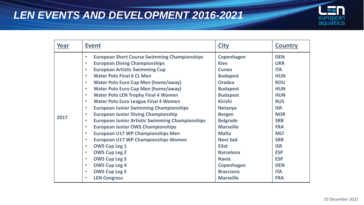

| Year | <b>Event</b>                                                        | <b>City</b>       | <b>Country</b> |
|------|---------------------------------------------------------------------|-------------------|----------------|
|      | <b>European Short Course Swimming Championships</b><br>$\bullet$    | <b>Copenhagen</b> | <b>DEN</b>     |
|      | <b>European Diving Championships</b><br>$\bullet$                   | <b>Kiev</b>       | <b>UKR</b>     |
|      | <b>European Artistic Swimming Cup</b><br>$\bullet$                  | <b>Cuneo</b>      | <b>ITA</b>     |
|      | <b>Water Polo Final 6 CL Men</b><br>$\bullet$                       | <b>Budapest</b>   | <b>HUN</b>     |
|      | <b>Water Polo Euro Cup Men (home/away)</b><br>$\bullet$             | <b>Oradea</b>     | <b>ROU</b>     |
|      | <b>Water Polo Euro Cup Men (home/away)</b><br>$\bullet$             | <b>Budapest</b>   | <b>HUN</b>     |
|      | <b>Water Polo LEN Trophy Final 4 Women</b><br>$\bullet$             | <b>Budapest</b>   | <b>HUN</b>     |
|      | <b>Water Polo Euro League Final 4 Women</b><br>$\bullet$            | <b>Kirishi</b>    | <b>RUS</b>     |
|      | <b>European Junior Swimming Championships</b><br>$\bullet$          | <b>Netanya</b>    | <b>ISR</b>     |
| 2017 | <b>European Junior Diving Championship</b><br>$\bullet$             | <b>Bergen</b>     | <b>NOR</b>     |
|      | <b>European Junior Artistic Swimming Championships</b><br>$\bullet$ | <b>Belgrade</b>   | <b>SRB</b>     |
|      | <b>European Junior OWS Championships</b><br>$\bullet$               | <b>Marseille</b>  | <b>FRA</b>     |
|      | <b>European U17 WP Championships Men</b><br>$\bullet$               | <b>Malta</b>      | <b>MLT</b>     |
|      | <b>European U17 WP Championships Women</b><br>$\bullet$             | <b>Novi Sad</b>   | <b>SRB</b>     |
|      | <b>OWS Cup Leg 1</b><br>$\bullet$                                   | <b>Eilat</b>      | <b>ISR</b>     |
|      | <b>OWS Cup Leg 2</b><br>$\bullet$                                   | <b>Barcelona</b>  | <b>ESP</b>     |
|      | <b>OWS Cup Leg 3</b><br>$\bullet$                                   | <b>Navia</b>      | <b>ESP</b>     |
|      | <b>OWS Cup Leg 4</b><br>$\bullet$                                   | Copenhagen        | <b>DEN</b>     |
|      | <b>OWS Cup Leg 5</b><br>$\bullet$                                   | <b>Bracciano</b>  | <b>ITA</b>     |
|      | <b>LEN Congress</b><br>$\bullet$                                    | <b>Marseille</b>  | <b>FRA</b>     |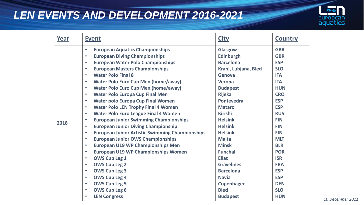

| Year | <b>Event</b>                                                        | <b>City</b>          | <b>Country</b> |
|------|---------------------------------------------------------------------|----------------------|----------------|
|      | <b>European Aquatics Championships</b><br>$\bullet$                 | Glasgow              | <b>GBR</b>     |
|      | <b>European Diving Championships</b><br>$\bullet$                   | <b>Edinburgh</b>     | <b>GBR</b>     |
|      | <b>European Water Polo Championships</b><br>$\bullet$               | <b>Barcelona</b>     | <b>ESP</b>     |
|      | <b>European Masters Championships</b><br>$\bullet$                  | Kranj, Lubjana, Bled | <b>SLO</b>     |
|      | <b>Water Polo Final 8</b><br>$\bullet$                              | Genova               | <b>ITA</b>     |
|      | <b>Water Polo Euro Cup Men (home/away)</b><br>$\bullet$             | <b>Verona</b>        | <b>ITA</b>     |
|      | <b>Water Polo Euro Cup Men (home/away)</b><br>$\bullet$             | <b>Budapest</b>      | <b>HUN</b>     |
|      | <b>Water Polo Europa Cup Final Men</b><br>$\bullet$                 | <b>Rijeka</b>        | <b>CRO</b>     |
|      | <b>Water polo Europa Cup Final Women</b><br>$\bullet$               | <b>Pontevedra</b>    | <b>ESP</b>     |
|      | <b>Water Polo LEN Trophy Final 4 Women</b><br>$\bullet$             | <b>Mataro</b>        | <b>ESP</b>     |
|      | <b>Water Polo Euro League Final 4 Women</b><br>$\bullet$            | <b>Kirishi</b>       | <b>RUS</b>     |
| 2018 | <b>European Junior Swimming Championships</b><br>$\bullet$          | <b>Helsinki</b>      | <b>FIN</b>     |
|      | <b>European Junior Diving Championship</b><br>$\bullet$             | <b>Helsinki</b>      | <b>FIN</b>     |
|      | <b>European Junior Artistic Swimming Championships</b><br>$\bullet$ | <b>Helsinki</b>      | <b>FIN</b>     |
|      | <b>European Junior OWS Championships</b><br>$\bullet$               | <b>Malta</b>         | <b>MLT</b>     |
|      | <b>European U19 WP Championships Men</b><br>$\bullet$               | <b>Minsk</b>         | <b>BLR</b>     |
|      | <b>European U19 WP Championships Women</b><br>$\bullet$             | <b>Funchal</b>       | <b>POR</b>     |
|      | <b>OWS Cup Leg 1</b><br>$\bullet$                                   | <b>Eilat</b>         | <b>ISR</b>     |
|      | <b>OWS Cup Leg 2</b><br>$\bullet$                                   | <b>Gravelines</b>    | <b>FRA</b>     |
|      | <b>OWS Cup Leg 3</b><br>$\bullet$                                   | <b>Barcelona</b>     | <b>ESP</b>     |
|      | <b>OWS Cup Leg 4</b><br>$\bullet$                                   | <b>Navia</b>         | <b>ESP</b>     |
|      | <b>OWS Cup Leg 5</b><br>$\bullet$                                   | Copenhagen           | <b>DEN</b>     |
|      | <b>OWS Cup Leg 6</b><br>$\bullet$                                   | <b>Bled</b>          | <b>SLO</b>     |
|      | <b>LEN Congress</b>                                                 | <b>Budapest</b>      | <b>HUN</b>     |

*10 December 2021*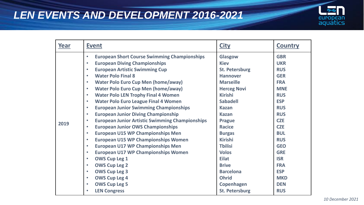

| Year | <b>Event</b>                                                        | <b>City</b>           | <b>Country</b> |
|------|---------------------------------------------------------------------|-----------------------|----------------|
|      | <b>European Short Course Swimming Championships</b><br>$\bullet$    | Glasgow               | <b>GBR</b>     |
|      | <b>European Diving Championships</b><br>$\bullet$                   | <b>Kiev</b>           | <b>UKR</b>     |
|      | <b>European Artistic Swimming Cup</b><br>$\bullet$                  | <b>St. Petersburg</b> | <b>RUS</b>     |
|      | <b>Water Polo Final 8</b><br>$\bullet$                              | <b>Hannover</b>       | <b>GER</b>     |
|      | <b>Water Polo Euro Cup Men (home/away)</b><br>$\bullet$             | <b>Marseille</b>      | <b>FRA</b>     |
|      | <b>Water Polo Euro Cup Men (home/away)</b><br>$\bullet$             | <b>Herceg Novi</b>    | <b>MNE</b>     |
|      | <b>Water Polo LEN Trophy Final 4 Women</b><br>$\bullet$             | <b>Kirishi</b>        | <b>RUS</b>     |
|      | <b>Water Polo Euro League Final 4 Women</b><br>$\bullet$            | <b>Sabadell</b>       | <b>ESP</b>     |
|      | <b>European Junior Swimming Championships</b><br>$\bullet$          | <b>Kazan</b>          | <b>RUS</b>     |
|      | <b>European Junior Diving Championship</b><br>$\bullet$             | <b>Kazan</b>          | <b>RUS</b>     |
| 2019 | <b>European Junior Artistic Swimming Championships</b><br>$\bullet$ | <b>Prague</b>         | <b>CZE</b>     |
|      | <b>European Junior OWS Championships</b><br>$\bullet$               | <b>Racice</b>         | <b>CZE</b>     |
|      | <b>European U15 WP Championships Men</b><br>$\bullet$               | <b>Burgas</b>         | <b>BUL</b>     |
|      | <b>European U15 WP Championships Women</b><br>$\bullet$             | <b>Kirishi</b>        | <b>RUS</b>     |
|      | <b>European U17 WP Championships Men</b><br>$\bullet$               | <b>Thilisi</b>        | <b>GEO</b>     |
|      | <b>European U17 WP Championships Women</b><br>$\bullet$             | <b>Volos</b>          | <b>GRE</b>     |
|      | <b>OWS Cup Leg 1</b><br>$\bullet$                                   | <b>Eilat</b>          | <b>ISR</b>     |
|      | <b>OWS Cup Leg 2</b><br>$\bullet$                                   | <b>Brive</b>          | <b>FRA</b>     |
|      | <b>OWS Cup Leg 3</b><br>$\bullet$                                   | <b>Barcelona</b>      | <b>ESP</b>     |
|      | <b>OWS Cup Leg 4</b><br>$\bullet$                                   | <b>Ohrid</b>          | <b>MKD</b>     |
|      | <b>OWS Cup Leg 5</b><br>$\bullet$                                   | Copenhagen            | <b>DEN</b>     |
|      | <b>LEN Congress</b>                                                 | <b>St. Petersburg</b> | <b>RUS</b>     |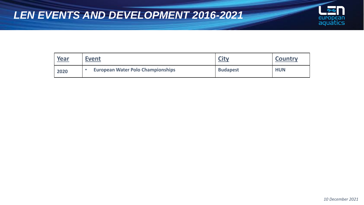

| Year | Event                                    | <b>City</b>     | <b>Country</b> |
|------|------------------------------------------|-----------------|----------------|
| 2020 | <b>European Water Polo Championships</b> | <b>Budapest</b> | <b>HUN</b>     |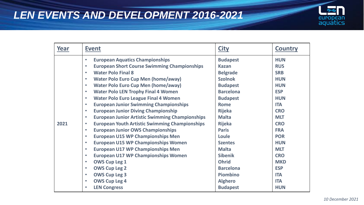

| <b>European Aquatics Championships</b><br>$\bullet$<br><b>European Short Course Swimming Championships</b><br>$\bullet$                                                                                                                                                                                                                                                                                                                                                                                                                                                                                                                                                                                                                                                                                                                                                                                                                      | <b>Budapest</b><br><b>Kazan</b><br><b>Belgrade</b>                                                                                                                                                                                                         | <b>HUN</b><br><b>RUS</b><br><b>SRB</b>                                                                                                                                                                         |
|----------------------------------------------------------------------------------------------------------------------------------------------------------------------------------------------------------------------------------------------------------------------------------------------------------------------------------------------------------------------------------------------------------------------------------------------------------------------------------------------------------------------------------------------------------------------------------------------------------------------------------------------------------------------------------------------------------------------------------------------------------------------------------------------------------------------------------------------------------------------------------------------------------------------------------------------|------------------------------------------------------------------------------------------------------------------------------------------------------------------------------------------------------------------------------------------------------------|----------------------------------------------------------------------------------------------------------------------------------------------------------------------------------------------------------------|
| <b>Water Polo Final 8</b><br>$\bullet$<br><b>Water Polo Euro Cup Men (home/away)</b><br>$\bullet$<br><b>Water Polo Euro Cup Men (home/away)</b><br>$\bullet$<br><b>Water Polo LEN Trophy Final 4 Women</b><br>$\bullet$<br><b>Water Polo Euro League Final 4 Women</b><br>$\bullet$<br><b>European Junior Swimming Championships</b><br>$\bullet$<br><b>European Junior Diving Championship</b><br>$\bullet$<br><b>European Junior Artistic Swimming Championships</b><br>$\bullet$<br>2021<br><b>European Youth Artistic Swimming Championships</b><br>$\bullet$<br><b>European Junior OWS Championships</b><br>$\bullet$<br><b>European U15 WP Championships Men</b><br>$\bullet$<br><b>European U15 WP Championships Women</b><br>$\bullet$<br><b>European U17 WP Championships Men</b><br>$\bullet$<br><b>European U17 WP Championships Women</b><br>$\bullet$<br><b>OWS Cup Leg 1</b><br>$\bullet$<br><b>OWS Cup Leg 2</b><br>$\bullet$ | <b>Szolnok</b><br><b>Budapest</b><br><b>Barcelona</b><br><b>Budapest</b><br><b>Rome</b><br><b>Rijeka</b><br><b>Malta</b><br><b>Rijeka</b><br><b>Paris</b><br>Loule<br><b>Szentes</b><br><b>Malta</b><br><b>Sibenik</b><br><b>Ohrid</b><br><b>Barcelona</b> | <b>HUN</b><br><b>HUN</b><br><b>ESP</b><br><b>HUN</b><br><b>ITA</b><br><b>CRO</b><br><b>MLT</b><br><b>CRO</b><br><b>FRA</b><br><b>POR</b><br><b>HUN</b><br><b>MLT</b><br><b>CRO</b><br><b>MKD</b><br><b>ESP</b> |
| <b>OWS Cup Leg 3</b><br>$\bullet$<br><b>OWS Cup Leg 4</b><br>$\bullet$<br><b>LEN Congress</b>                                                                                                                                                                                                                                                                                                                                                                                                                                                                                                                                                                                                                                                                                                                                                                                                                                                | Piombino<br><b>Alghero</b><br><b>Budapest</b>                                                                                                                                                                                                              | <b>ITA</b><br><b>ITA</b><br><b>HUN</b>                                                                                                                                                                         |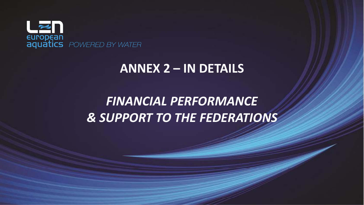

### **ANNEX 2 – IN DETAILS**

## *FINANCIAL PERFORMANCE & SUPPORT TO THE FEDERATIONS*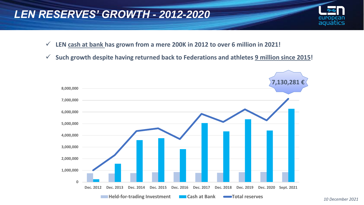#### *LEN RESERVES' GROWTH - 2012-2020*

- ✓ **LEN cash at bank has grown from a mere 200K in 2012 to over 6 million in 2021!**
- ✓ **Such growth despite having returned back to Federations and athletes 9 million since 2015!**



aquatics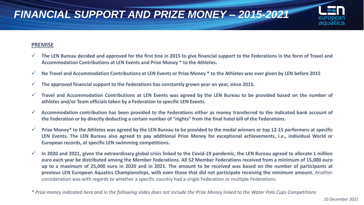



- $\checkmark$  The LEN Bureau decided and approved for the first tine in 2015 to give financial support to the Federations in the form of Travel and **Accommodation Contributions at LEN Events and Prize Money \* to the Athletes.**
- $\checkmark$  No Travel and Accommodation Contributions at LEN Events or Prize Money  $*$  to the Athletes was ever given by LEN before 2015
- ✓ **The approved financial support to the Federations has constantly grown year on year, since 2015.**
- $\checkmark$  Travel and Accommodation Contributions at LEN Events was agreed by the LEN Bureau to be provided based on the number of **athletes and/or Team officials taken by a Federation to specific LEN Events.**
- $\checkmark$  Accommodation contribution has been provided to the Federations either as money transferred to the indicated bank account of the Federation or by directly deducting a certain number of "nights" from the final hotel bill of the Federations.
- $\checkmark$  Prize Money\* to the Athletes was agreed by the LEN Bureau to be provided to the medal winners or top 12-15 performers at specific LEN Events. The LEN Bureau also agreed to pay additional Prize Money for exceptional achievements, i.e., individual World or **European records, at specific LEN swimming competitions.**
- $\checkmark$  In 2020 and 2021, given the extraordinary global crisis linked to the Covid-19 pandemic, the LEN Bureau agreed to allocate 1 million euro each year be distributed among the Member Federations. All 52 Member Federations received from a minimum of 15,000 euro up to a maximum of 25,000 euro in 2020 and in 2021. The amount to be received was based on the number of participants at previous LEN European Aquatics Championships, with even those that did not participate receiving the minimum amount. Another consideration was with regards to whether a specific country had a single Federation or multiple Federations.

aguatics

<sup>\*</sup> Prize money indicated here and in the following slides does not include the Prize Money linked to the Water Polo Cups Competitions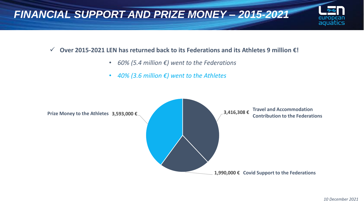

#### ✓ **Over 2015-2021 LEN has returned back to its Federations and its Athletes 9 million €!**

- *60% (5.4 million €) went to the Federations*
- *40% (3.6 million €) went to the Athletes*



aquatics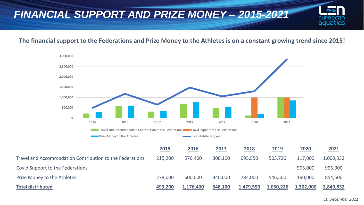### *FINANCIAL SUPPORT AND PRIZE MONEY – 2015-2021*

#### **The financial support to the Federations and Prize Money to the Athletes is on a constant growing trend since 2015!**



european aquatics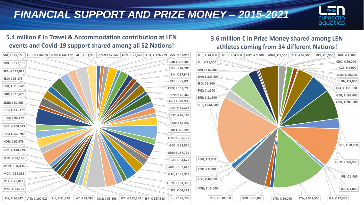### *FINANCIAL SUPPORT AND PRIZE MONEY – 2015-2021*



#### **5.4 million € in Travel & Accommodation contribution at LEN events and Covid-19 support shared among all 52 Nations!**

#### SUI; € 122,159 ∥ TUR; € 168,989 ∥ UKR; € 136,479 ∥ ALB; € 61,966 ∥ AND; € 47,627 ∥ ARM; € 72,522 ∥ AUT; € 126,229 ∥ AZE; € 47,986 │ │ TUR; € 14,000 │ UKR; € 184,000 │ AUT; € 5,500 │ ARM; € 1,500 │ BLR; € 69,500 │ BEL; € 6 **BLR; € 118,409 BEL; € 82,203 BIH; € 67,943 BUL; € 77,093 CRO; € 111,795 CYP; € 49,363 CZE; € 121,933 DEN; € 85,213 EST; € 89,195 FAR; € 51,847 FIN; € 119,993 FRA; € 196,159 GEO; € 84,830 GER; € 187,719 GIB; € 34,627 GBR; € 107,612 GRE; € 143,319 HUN; € 161,309 ICE; € 64,213** LUX; € 84,547 || LTU; € 100,027 || LIE; € 51,353 || LAT; € 61,783 || KOS; € 53,103 || ITA; € 282,569 || ISR; € 157,813 || IRL; € 102,783 **MKD; € 44,736 MLT; € 75,013 MDA; € 59,336 MON; € 34,436 MNE; € 58,186 NED; € 180,939 NOR; € 92,976 POL; € 132,709 POR; € 108,043 ROU; € 94,479 RUS; € 233,179 SMR; € 52,903 SRB; € 113,673 SVK; € 113,645 SLO; € 85,173 SPA; € 172,019 SWE; € 122,159 CRO; € 56,000 CZE; € 6,000 DEN; € 40,000 FIN; € 8,000 FRA; € 151,500 GER; € 188,000 GBR; € 283,000 GRE; € 98,000 HUN; € 374,500 ICE; € 4,000 IRL; € 1,000 NED; € 318,000 MNE; € 50,000 LTU; € 34,000 ITA; € 517,500 ISR; € 27,000 NOR; € 15,000 POL; € 46,000 POR; € 8,500 ROU; € 5,000 RUS; € 664,500 SRB; € 81,500 SVK; € 1,500 SLO; € 3,500 SPA; € 223,500 SWE; € 87,000 SUI; € 11,500 TUR; € 14,000 UKR; € 184,000**

#### **3.6 million € in Prize Money shared among LEN athletes coming from 34 different Nations!**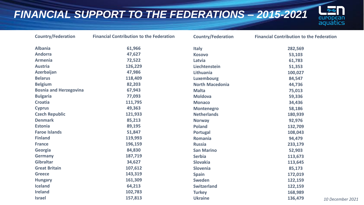### *FINANCIAL SUPPORT TO THE FEDERATIONS – 2015-2021*



| <b>Country/Federation</b>     | <b>Financial Contribution to the Federation</b> | <b>Country/Federation</b> | <b>Financial Contribution to the Federation</b> |
|-------------------------------|-------------------------------------------------|---------------------------|-------------------------------------------------|
| <b>Albania</b>                | 61,966                                          | <b>Italy</b>              | 282,569                                         |
| <b>Andorra</b>                | 47,627                                          | <b>Kosovo</b>             | 53,103                                          |
| <b>Armenia</b>                | 72,522                                          | Latvia                    | 61,783                                          |
| <b>Austria</b>                | 126,229                                         | Liechtenstein             | 51,353                                          |
| Azerbaijan                    | 47,986                                          | <b>Lithuania</b>          | 100,027                                         |
| <b>Belarus</b>                | 118,409                                         | <b>Luxembourg</b>         | 84,547                                          |
| <b>Belgium</b>                | 82,203                                          | <b>North Macedonia</b>    | 44,736                                          |
| <b>Bosnia and Herzegovina</b> | 67,943                                          | <b>Malta</b>              | 75,013                                          |
| <b>Bulgaria</b>               | 77,093                                          | <b>Moldova</b>            | 59,336                                          |
| <b>Croatia</b>                | 111,795                                         | <b>Monaco</b>             | 34,436                                          |
| <b>Cyprus</b>                 | 49,363                                          | <b>Montenegro</b>         | 58,186                                          |
| <b>Czech Republic</b>         | 121,933                                         | <b>Netherlands</b>        | 180,939                                         |
| <b>Denmark</b>                | 85,213                                          | <b>Norway</b>             | 92,976                                          |
| <b>Estonia</b>                | 89,195                                          | <b>Poland</b>             | 132,709                                         |
| <b>Faroe Islands</b>          | 51,847                                          | Portugal                  | 108,043                                         |
| <b>Finland</b>                | 119,993                                         | Romania                   | 94,479                                          |
| <b>France</b>                 | 196,159                                         | <b>Russia</b>             | 233,179                                         |
| Georgia                       | 84,830                                          | <b>San Marino</b>         | 52,903                                          |
| <b>Germany</b>                | 187,719                                         | <b>Serbia</b>             | 113,673                                         |
| <b>Gibraltar</b>              | 34,627                                          | <b>Slovakia</b>           | 113,645                                         |
| <b>Great Britain</b>          | 107,612                                         | Slovenia                  | 85,173                                          |
| <b>Greece</b>                 | 143,319                                         | <b>Spain</b>              | 172,019                                         |
| <b>Hungary</b>                | 161,309                                         | <b>Sweden</b>             | 122,159                                         |
| <b>Iceland</b>                | 64,213                                          | <b>Switzerland</b>        | 122,159                                         |
| <b>Ireland</b>                | 102,783                                         | <b>Turkey</b>             | 168,989                                         |
| <b>Israel</b>                 | 157,813                                         | <b>Ukraine</b>            | 136,479<br>10 Dece                              |

**Ukraine 136,479** *10 December 2021*